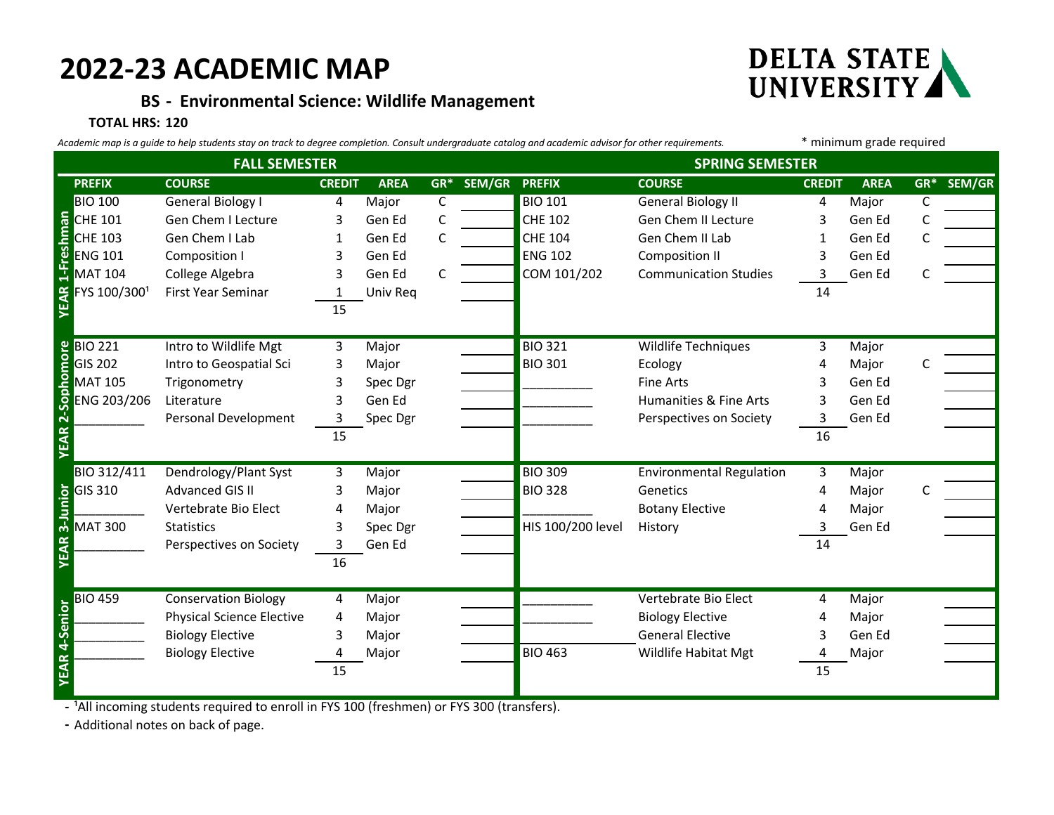# **2022-23 ACADEMIC MAP**

## **BS - Environmental Science: Wildlife Management**

#### **TOTAL HRS: 120**

| Academic map is a guide to help students stay on track to degree completion. Consult undergraduate catalog and academic advisor for other requirements. |                                         |                                  |               |             |              |               |                        | * minimum grade required        |               |             |              |        |
|---------------------------------------------------------------------------------------------------------------------------------------------------------|-----------------------------------------|----------------------------------|---------------|-------------|--------------|---------------|------------------------|---------------------------------|---------------|-------------|--------------|--------|
| <b>FALL SEMESTER</b>                                                                                                                                    |                                         |                                  |               |             |              |               | <b>SPRING SEMESTER</b> |                                 |               |             |              |        |
|                                                                                                                                                         | <b>PREFIX</b>                           | <b>COURSE</b>                    | <b>CREDIT</b> | <b>AREA</b> | $GR^*$       | SEM/GR PREFIX |                        | <b>COURSE</b>                   | <b>CREDIT</b> | <b>AREA</b> | $GR^*$       | SEM/GR |
|                                                                                                                                                         | <b>BIO 100</b>                          | <b>General Biology I</b>         | 4             | Major       | $\mathsf{C}$ |               | <b>BIO 101</b>         | <b>General Biology II</b>       | 4             | Major       | $\mathsf{C}$ |        |
|                                                                                                                                                         | <b>CHE 101</b>                          | Gen Chem I Lecture               | 3             | Gen Ed      | C            |               | <b>CHE 102</b>         | Gen Chem II Lecture             |               | Gen Ed      |              |        |
|                                                                                                                                                         | <b>CHE 103</b>                          | Gen Chem I Lab                   | 1             | Gen Ed      | C            |               | <b>CHE 104</b>         | Gen Chem II Lab                 | 1             | Gen Ed      |              |        |
| 1-Freshman                                                                                                                                              | <b>ENG 101</b>                          | Composition I                    | 3             | Gen Ed      |              |               | <b>ENG 102</b>         | <b>Composition II</b>           | 3             | Gen Ed      |              |        |
|                                                                                                                                                         | <b>MAT 104</b>                          | College Algebra                  | 3             | Gen Ed      | C            |               | COM 101/202            | <b>Communication Studies</b>    | 3             | Gen Ed      |              |        |
|                                                                                                                                                         | FYS 100/3001                            | First Year Seminar               | 1             | Univ Req    |              |               |                        |                                 | 14            |             |              |        |
|                                                                                                                                                         |                                         |                                  | 15            |             |              |               |                        |                                 |               |             |              |        |
|                                                                                                                                                         |                                         |                                  |               |             |              |               |                        |                                 |               |             |              |        |
|                                                                                                                                                         | <b>BIO 221</b>                          | Intro to Wildlife Mgt            | 3             | Major       |              |               | <b>BIO 321</b>         | Wildlife Techniques             | 3             | Major       |              |        |
| Sophomore                                                                                                                                               | <b>GIS 202</b>                          | Intro to Geospatial Sci          | 3             | Major       |              |               | <b>BIO 301</b>         | Ecology                         |               | Major       |              |        |
|                                                                                                                                                         | <b>MAT 105</b>                          | Trigonometry                     | 3             | Spec Dgr    |              |               |                        | <b>Fine Arts</b>                |               | Gen Ed      |              |        |
|                                                                                                                                                         | ENG 203/206                             | Literature                       | 3             | Gen Ed      |              |               |                        | Humanities & Fine Arts          | 3             | Gen Ed      |              |        |
| ผ่                                                                                                                                                      |                                         | Personal Development             | 3             | Spec Dgr    |              |               |                        | Perspectives on Society         | 3             | Gen Ed      |              |        |
| EAR                                                                                                                                                     |                                         |                                  | 15            |             |              |               |                        |                                 | 16            |             |              |        |
|                                                                                                                                                         |                                         |                                  |               |             |              |               |                        |                                 |               |             |              |        |
|                                                                                                                                                         | BIO 312/411                             | Dendrology/Plant Syst            | 3             | Major       |              |               | <b>BIO 309</b>         | <b>Environmental Regulation</b> | 3             | Major       |              |        |
|                                                                                                                                                         | <b>b</b> GIS 310<br><b>S</b><br>MAT 300 | <b>Advanced GIS II</b>           | 3             | Major       |              |               | <b>BIO 328</b>         | Genetics                        | 4             | Major       |              |        |
|                                                                                                                                                         |                                         | Vertebrate Bio Elect             | 4             | Major       |              |               |                        | <b>Botany Elective</b>          |               | Major       |              |        |
|                                                                                                                                                         | <b>MAT 300</b>                          | <b>Statistics</b>                | 3             | Spec Dgr    |              |               | HIS 100/200 level      | History                         |               | Gen Ed      |              |        |
| EAR                                                                                                                                                     |                                         | Perspectives on Society          | 3             | Gen Ed      |              |               |                        |                                 | 14            |             |              |        |
|                                                                                                                                                         |                                         |                                  | 16            |             |              |               |                        |                                 |               |             |              |        |
|                                                                                                                                                         |                                         |                                  |               |             |              |               |                        |                                 |               |             |              |        |
|                                                                                                                                                         | <b>BIO 459</b>                          | <b>Conservation Biology</b>      | 4             | Major       |              |               |                        | Vertebrate Bio Elect            | 4             | Major       |              |        |
|                                                                                                                                                         |                                         | <b>Physical Science Elective</b> | 4             | Major       |              |               |                        | <b>Biology Elective</b>         |               | Major       |              |        |
| 4-Senior                                                                                                                                                |                                         | <b>Biology Elective</b>          | 3             | Major       |              |               |                        | <b>General Elective</b>         |               | Gen Ed      |              |        |
|                                                                                                                                                         |                                         | <b>Biology Elective</b>          | 4             | Major       |              |               | <b>BIO 463</b>         | Wildlife Habitat Mgt            | 4             | Major       |              |        |
| YEAR                                                                                                                                                    |                                         |                                  | 15            |             |              |               |                        |                                 | 15            |             |              |        |
|                                                                                                                                                         |                                         |                                  |               |             |              |               |                        |                                 |               |             |              |        |

- <sup>1</sup>All incoming students required to enroll in FYS 100 (freshmen) or FYS 300 (transfers).

**-** Additional notes on back of page.